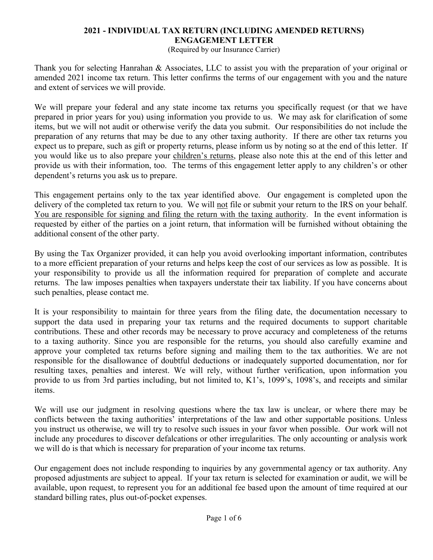## **2021 - INDIVIDUAL TAX RETURN (INCLUDING AMENDED RETURNS) ENGAGEMENT LETTER**

(Required by our Insurance Carrier)

Thank you for selecting Hanrahan & Associates, LLC to assist you with the preparation of your original or amended 2021 income tax return. This letter confirms the terms of our engagement with you and the nature and extent of services we will provide.

We will prepare your federal and any state income tax returns you specifically request (or that we have prepared in prior years for you) using information you provide to us. We may ask for clarification of some items, but we will not audit or otherwise verify the data you submit. Our responsibilities do not include the preparation of any returns that may be due to any other taxing authority. If there are other tax returns you expect us to prepare, such as gift or property returns, please inform us by noting so at the end of this letter. If you would like us to also prepare your children's returns, please also note this at the end of this letter and provide us with their information, too. The terms of this engagement letter apply to any children's or other dependent's returns you ask us to prepare.

This engagement pertains only to the tax year identified above. Our engagement is completed upon the delivery of the completed tax return to you. We will not file or submit your return to the IRS on your behalf. You are responsible for signing and filing the return with the taxing authority. In the event information is requested by either of the parties on a joint return, that information will be furnished without obtaining the additional consent of the other party.

By using the Tax Organizer provided, it can help you avoid overlooking important information, contributes to a more efficient preparation of your returns and helps keep the cost of our services as low as possible. It is your responsibility to provide us all the information required for preparation of complete and accurate returns. The law imposes penalties when taxpayers understate their tax liability. If you have concerns about such penalties, please contact me.

It is your responsibility to maintain for three years from the filing date, the documentation necessary to support the data used in preparing your tax returns and the required documents to support charitable contributions. These and other records may be necessary to prove accuracy and completeness of the returns to a taxing authority. Since you are responsible for the returns, you should also carefully examine and approve your completed tax returns before signing and mailing them to the tax authorities. We are not responsible for the disallowance of doubtful deductions or inadequately supported documentation, nor for resulting taxes, penalties and interest. We will rely, without further verification, upon information you provide to us from 3rd parties including, but not limited to, K1's, 1099's, 1098's, and receipts and similar items.

We will use our judgment in resolving questions where the tax law is unclear, or where there may be conflicts between the taxing authorities' interpretations of the law and other supportable positions. Unless you instruct us otherwise, we will try to resolve such issues in your favor when possible. Our work will not include any procedures to discover defalcations or other irregularities. The only accounting or analysis work we will do is that which is necessary for preparation of your income tax returns.

Our engagement does not include responding to inquiries by any governmental agency or tax authority. Any proposed adjustments are subject to appeal. If your tax return is selected for examination or audit, we will be available, upon request, to represent you for an additional fee based upon the amount of time required at our standard billing rates, plus out-of-pocket expenses.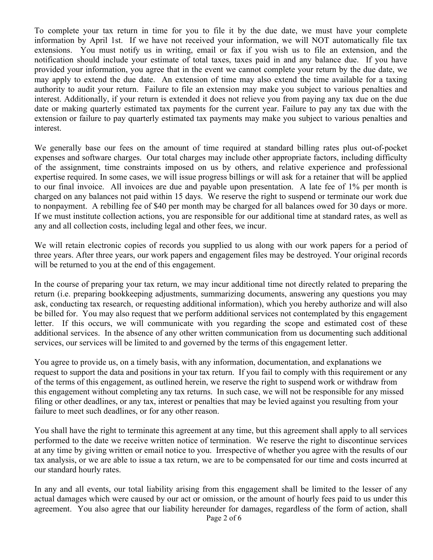To complete your tax return in time for you to file it by the due date, we must have your complete information by April 1st. If we have not received your information, we will NOT automatically file tax extensions. You must notify us in writing, email or fax if you wish us to file an extension, and the notification should include your estimate of total taxes, taxes paid in and any balance due. If you have provided your information, you agree that in the event we cannot complete your return by the due date, we may apply to extend the due date. An extension of time may also extend the time available for a taxing authority to audit your return. Failure to file an extension may make you subject to various penalties and interest. Additionally, if your return is extended it does not relieve you from paying any tax due on the due date or making quarterly estimated tax payments for the current year. Failure to pay any tax due with the extension or failure to pay quarterly estimated tax payments may make you subject to various penalties and interest.

We generally base our fees on the amount of time required at standard billing rates plus out-of-pocket expenses and software charges. Our total charges may include other appropriate factors, including difficulty of the assignment, time constraints imposed on us by others, and relative experience and professional expertise required. In some cases, we will issue progress billings or will ask for a retainer that will be applied to our final invoice. All invoices are due and payable upon presentation. A late fee of 1% per month is charged on any balances not paid within 15 days. We reserve the right to suspend or terminate our work due to nonpayment. A rebilling fee of \$40 per month may be charged for all balances owed for 30 days or more. If we must institute collection actions, you are responsible for our additional time at standard rates, as well as any and all collection costs, including legal and other fees, we incur.

We will retain electronic copies of records you supplied to us along with our work papers for a period of three years. After three years, our work papers and engagement files may be destroyed. Your original records will be returned to you at the end of this engagement.

In the course of preparing your tax return, we may incur additional time not directly related to preparing the return (i.e. preparing bookkeeping adjustments, summarizing documents, answering any questions you may ask, conducting tax research, or requesting additional information), which you hereby authorize and will also be billed for. You may also request that we perform additional services not contemplated by this engagement letter. If this occurs, we will communicate with you regarding the scope and estimated cost of these additional services. In the absence of any other written communication from us documenting such additional services, our services will be limited to and governed by the terms of this engagement letter.

You agree to provide us, on a timely basis, with any information, documentation, and explanations we request to support the data and positions in your tax return. If you fail to comply with this requirement or any of the terms of this engagement, as outlined herein, we reserve the right to suspend work or withdraw from this engagement without completing any tax returns. In such case, we will not be responsible for any missed filing or other deadlines, or any tax, interest or penalties that may be levied against you resulting from your failure to meet such deadlines, or for any other reason.

You shall have the right to terminate this agreement at any time, but this agreement shall apply to all services performed to the date we receive written notice of termination. We reserve the right to discontinue services at any time by giving written or email notice to you. Irrespective of whether you agree with the results of our tax analysis, or we are able to issue a tax return, we are to be compensated for our time and costs incurred at our standard hourly rates.

In any and all events, our total liability arising from this engagement shall be limited to the lesser of any actual damages which were caused by our act or omission, or the amount of hourly fees paid to us under this agreement. You also agree that our liability hereunder for damages, regardless of the form of action, shall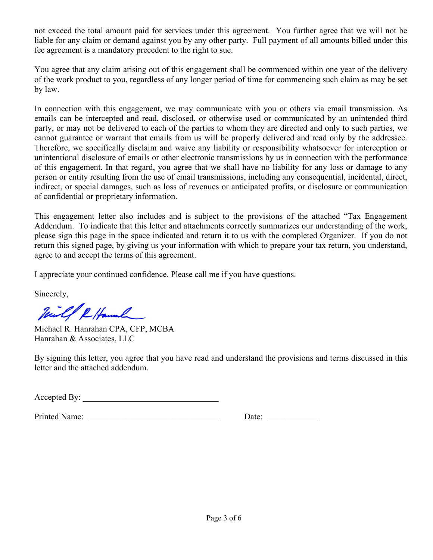not exceed the total amount paid for services under this agreement. You further agree that we will not be liable for any claim or demand against you by any other party. Full payment of all amounts billed under this fee agreement is a mandatory precedent to the right to sue.

You agree that any claim arising out of this engagement shall be commenced within one year of the delivery of the work product to you, regardless of any longer period of time for commencing such claim as may be set by law.

In connection with this engagement, we may communicate with you or others via email transmission. As emails can be intercepted and read, disclosed, or otherwise used or communicated by an unintended third party, or may not be delivered to each of the parties to whom they are directed and only to such parties, we cannot guarantee or warrant that emails from us will be properly delivered and read only by the addressee. Therefore, we specifically disclaim and waive any liability or responsibility whatsoever for interception or unintentional disclosure of emails or other electronic transmissions by us in connection with the performance of this engagement. In that regard, you agree that we shall have no liability for any loss or damage to any person or entity resulting from the use of email transmissions, including any consequential, incidental, direct, indirect, or special damages, such as loss of revenues or anticipated profits, or disclosure or communication of confidential or proprietary information.

This engagement letter also includes and is subject to the provisions of the attached "Tax Engagement Addendum. To indicate that this letter and attachments correctly summarizes our understanding of the work, please sign this page in the space indicated and return it to us with the completed Organizer. If you do not return this signed page, by giving us your information with which to prepare your tax return, you understand, agree to and accept the terms of this agreement.

I appreciate your continued confidence. Please call me if you have questions.

Sincerely,

1 Hannah

Michael R. Hanrahan CPA, CFP, MCBA Hanrahan & Associates, LLC

By signing this letter, you agree that you have read and understand the provisions and terms discussed in this letter and the attached addendum.

Accepted By:

| Printed<br>Name:<br>. |  |  |
|-----------------------|--|--|
|-----------------------|--|--|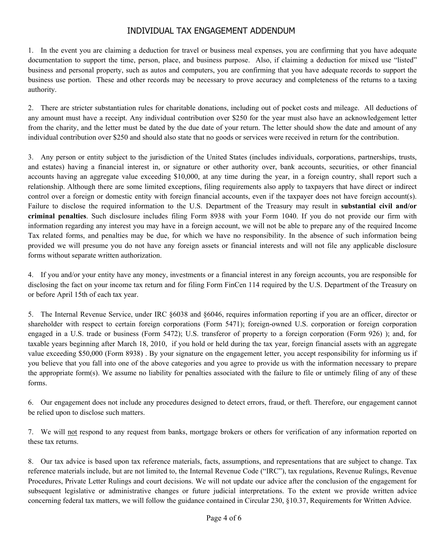## INDIVIDUAL TAX ENGAGEMENT ADDENDUM

1. In the event you are claiming a deduction for travel or business meal expenses, you are confirming that you have adequate documentation to support the time, person, place, and business purpose. Also, if claiming a deduction for mixed use "listed" business and personal property, such as autos and computers, you are confirming that you have adequate records to support the business use portion. These and other records may be necessary to prove accuracy and completeness of the returns to a taxing authority.

2. There are stricter substantiation rules for charitable donations, including out of pocket costs and mileage. All deductions of any amount must have a receipt. Any individual contribution over \$250 for the year must also have an acknowledgement letter from the charity, and the letter must be dated by the due date of your return. The letter should show the date and amount of any individual contribution over \$250 and should also state that no goods or services were received in return for the contribution.

3. Any person or entity subject to the jurisdiction of the United States (includes individuals, corporations, partnerships, trusts, and estates) having a financial interest in, or signature or other authority over, bank accounts, securities, or other financial accounts having an aggregate value exceeding \$10,000, at any time during the year, in a foreign country, shall report such a relationship. Although there are some limited exceptions, filing requirements also apply to taxpayers that have direct or indirect control over a foreign or domestic entity with foreign financial accounts, even if the taxpayer does not have foreign account(s). Failure to disclose the required information to the U.S. Department of the Treasury may result in **substantial civil and/or criminal penalties**. Such disclosure includes filing Form 8938 with your Form 1040. If you do not provide our firm with information regarding any interest you may have in a foreign account, we will not be able to prepare any of the required Income Tax related forms, and penalties may be due, for which we have no responsibility. In the absence of such information being provided we will presume you do not have any foreign assets or financial interests and will not file any applicable disclosure forms without separate written authorization.

4. If you and/or your entity have any money, investments or a financial interest in any foreign accounts, you are responsible for disclosing the fact on your income tax return and for filing Form FinCen 114 required by the U.S. Department of the Treasury on or before April 15th of each tax year.

5. The Internal Revenue Service, under IRC §6038 and §6046, requires information reporting if you are an officer, director or shareholder with respect to certain foreign corporations (Form 5471); foreign-owned U.S. corporation or foreign corporation engaged in a U.S. trade or business (Form 5472); U.S. transferor of property to a foreign corporation (Form 926) ); and, for taxable years beginning after March 18, 2010, if you hold or held during the tax year, foreign financial assets with an aggregate value exceeding \$50,000 (Form 8938) . By your signature on the engagement letter, you accept responsibility for informing us if you believe that you fall into one of the above categories and you agree to provide us with the information necessary to prepare the appropriate form(s). We assume no liability for penalties associated with the failure to file or untimely filing of any of these forms.

6. Our engagement does not include any procedures designed to detect errors, fraud, or theft. Therefore, our engagement cannot be relied upon to disclose such matters.

7. We will not respond to any request from banks, mortgage brokers or others for verification of any information reported on these tax returns.

8. Our tax advice is based upon tax reference materials, facts, assumptions, and representations that are subject to change. Tax reference materials include, but are not limited to, the Internal Revenue Code ("IRC"), tax regulations, Revenue Rulings, Revenue Procedures, Private Letter Rulings and court decisions. We will not update our advice after the conclusion of the engagement for subsequent legislative or administrative changes or future judicial interpretations. To the extent we provide written advice concerning federal tax matters, we will follow the guidance contained in Circular 230, §10.37, Requirements for Written Advice.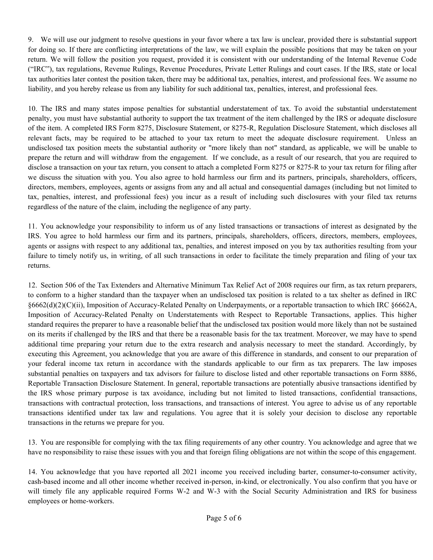9. We will use our judgment to resolve questions in your favor where a tax law is unclear, provided there is substantial support for doing so. If there are conflicting interpretations of the law, we will explain the possible positions that may be taken on your return. We will follow the position you request, provided it is consistent with our understanding of the Internal Revenue Code ("IRC"), tax regulations, Revenue Rulings, Revenue Procedures, Private Letter Rulings and court cases. If the IRS, state or local tax authorities later contest the position taken, there may be additional tax, penalties, interest, and professional fees. We assume no liability, and you hereby release us from any liability for such additional tax, penalties, interest, and professional fees.

10. The IRS and many states impose penalties for substantial understatement of tax. To avoid the substantial understatement penalty, you must have substantial authority to support the tax treatment of the item challenged by the IRS or adequate disclosure of the item. A completed IRS Form 8275, Disclosure Statement, or 8275-R, Regulation Disclosure Statement, which discloses all relevant facts, may be required to be attached to your tax return to meet the adequate disclosure requirement. Unless an undisclosed tax position meets the substantial authority or "more likely than not" standard, as applicable, we will be unable to prepare the return and will withdraw from the engagement. If we conclude, as a result of our research, that you are required to disclose a transaction on your tax return, you consent to attach a completed Form 8275 or 8275-R to your tax return for filing after we discuss the situation with you. You also agree to hold harmless our firm and its partners, principals, shareholders, officers, directors, members, employees, agents or assigns from any and all actual and consequential damages (including but not limited to tax, penalties, interest, and professional fees) you incur as a result of including such disclosures with your filed tax returns regardless of the nature of the claim, including the negligence of any party.

11. You acknowledge your responsibility to inform us of any listed transactions or transactions of interest as designated by the IRS. You agree to hold harmless our firm and its partners, principals, shareholders, officers, directors, members, employees, agents or assigns with respect to any additional tax, penalties, and interest imposed on you by tax authorities resulting from your failure to timely notify us, in writing, of all such transactions in order to facilitate the timely preparation and filing of your tax returns.

12. Section 506 of the Tax Extenders and Alternative Minimum Tax Relief Act of 2008 requires our firm, as tax return preparers, to conform to a higher standard than the taxpayer when an undisclosed tax position is related to a tax shelter as defined in IRC §6662(d)(2)(C)(ii), Imposition of Accuracy-Related Penalty on Underpayments, or a reportable transaction to which IRC §6662A, Imposition of Accuracy-Related Penalty on Understatements with Respect to Reportable Transactions, applies. This higher standard requires the preparer to have a reasonable belief that the undisclosed tax position would more likely than not be sustained on its merits if challenged by the IRS and that there be a reasonable basis for the tax treatment. Moreover, we may have to spend additional time preparing your return due to the extra research and analysis necessary to meet the standard. Accordingly, by executing this Agreement, you acknowledge that you are aware of this difference in standards, and consent to our preparation of your federal income tax return in accordance with the standards applicable to our firm as tax preparers. The law imposes substantial penalties on taxpayers and tax advisors for failure to disclose listed and other reportable transactions on Form 8886, Reportable Transaction Disclosure Statement. In general, reportable transactions are potentially abusive transactions identified by the IRS whose primary purpose is tax avoidance, including but not limited to listed transactions, confidential transactions, transactions with contractual protection, loss transactions, and transactions of interest. You agree to advise us of any reportable transactions identified under tax law and regulations. You agree that it is solely your decision to disclose any reportable transactions in the returns we prepare for you.

13. You are responsible for complying with the tax filing requirements of any other country. You acknowledge and agree that we have no responsibility to raise these issues with you and that foreign filing obligations are not within the scope of this engagement.

14. You acknowledge that you have reported all 2021 income you received including barter, consumer-to-consumer activity, cash-based income and all other income whether received in-person, in-kind, or electronically. You also confirm that you have or will timely file any applicable required Forms W-2 and W-3 with the Social Security Administration and IRS for business employees or home-workers.